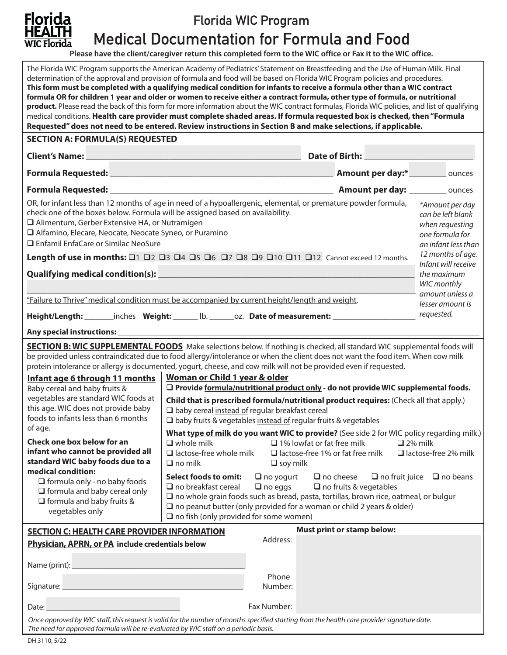

# Florida WIC Program

Medical Documentation for Formula and Food

**Please have the client/caregiver return this completed form to the WIC office or Fax it to the WIC office.**

| The Florida WIC Program supports the American Academy of Pediatrics' Statement on Breastfeeding and the Use of Human Milk. Final<br>determination of the approval and provision of formula and food will be based on Florida WIC Program policies and procedures.<br>This form must be completed with a qualifying medical condition for infants to receive a formula other than a WIC contract<br>formula OR for children 1 year and older or women to receive either a contract formula, other type of formula, or nutritional<br>product. Please read the back of this form for more information about the WIC contract formulas, Florida WIC policies, and list of qualifying<br>medical conditions. Health care provider must complete shaded areas. If formula requested box is checked, then "Formula<br>Requested" does not need to be entered. Review instructions in Section B and make selections, if applicable. |                                                                                                                                                                                                                                                                                                                                                                                                                                                                                                                        |                                                                                                    |                                                                                                                                                                                                                                      |                                                                                                   |  |
|------------------------------------------------------------------------------------------------------------------------------------------------------------------------------------------------------------------------------------------------------------------------------------------------------------------------------------------------------------------------------------------------------------------------------------------------------------------------------------------------------------------------------------------------------------------------------------------------------------------------------------------------------------------------------------------------------------------------------------------------------------------------------------------------------------------------------------------------------------------------------------------------------------------------------|------------------------------------------------------------------------------------------------------------------------------------------------------------------------------------------------------------------------------------------------------------------------------------------------------------------------------------------------------------------------------------------------------------------------------------------------------------------------------------------------------------------------|----------------------------------------------------------------------------------------------------|--------------------------------------------------------------------------------------------------------------------------------------------------------------------------------------------------------------------------------------|---------------------------------------------------------------------------------------------------|--|
| <b>SECTION A: FORMULA(S) REQUESTED</b>                                                                                                                                                                                                                                                                                                                                                                                                                                                                                                                                                                                                                                                                                                                                                                                                                                                                                       |                                                                                                                                                                                                                                                                                                                                                                                                                                                                                                                        |                                                                                                    |                                                                                                                                                                                                                                      |                                                                                                   |  |
|                                                                                                                                                                                                                                                                                                                                                                                                                                                                                                                                                                                                                                                                                                                                                                                                                                                                                                                              |                                                                                                                                                                                                                                                                                                                                                                                                                                                                                                                        |                                                                                                    | Date of Birth: <u>New York: New York: New York: New York: New York: New York: New York: New York: New York: New York: New York: New York: New York: New York: New York: New York: New York: New York: New York: New York: New Yo</u> |                                                                                                   |  |
|                                                                                                                                                                                                                                                                                                                                                                                                                                                                                                                                                                                                                                                                                                                                                                                                                                                                                                                              |                                                                                                                                                                                                                                                                                                                                                                                                                                                                                                                        |                                                                                                    | Amount per day:*<br><u> </u> <u> cunces</u>                                                                                                                                                                                          |                                                                                                   |  |
|                                                                                                                                                                                                                                                                                                                                                                                                                                                                                                                                                                                                                                                                                                                                                                                                                                                                                                                              |                                                                                                                                                                                                                                                                                                                                                                                                                                                                                                                        |                                                                                                    |                                                                                                                                                                                                                                      |                                                                                                   |  |
| OR, for infant less than 12 months of age in need of a hypoallergenic, elemental, or premature powder formula,<br>check one of the boxes below. Formula will be assigned based on availability.<br>□ Alimentum, Gerber Extensive HA, or Nutramigen<br>Alfamino, Elecare, Neocate, Neocate Syneo, or Puramino<br>□ Enfamil EnfaCare or Similac NeoSure                                                                                                                                                                                                                                                                                                                                                                                                                                                                                                                                                                        |                                                                                                                                                                                                                                                                                                                                                                                                                                                                                                                        |                                                                                                    |                                                                                                                                                                                                                                      | *Amount per day<br>can be left blank<br>when requesting<br>one formula for<br>an infant less than |  |
| Length of use in months: 01 02 03 04 05 06 07 08 09 010 011 012 Cannot exceed 12 months.                                                                                                                                                                                                                                                                                                                                                                                                                                                                                                                                                                                                                                                                                                                                                                                                                                     |                                                                                                                                                                                                                                                                                                                                                                                                                                                                                                                        |                                                                                                    | 12 months of age.<br>Infant will receive                                                                                                                                                                                             |                                                                                                   |  |
| Qualifying medical condition(s): Notice that the condition of the condition of the condition of the condition                                                                                                                                                                                                                                                                                                                                                                                                                                                                                                                                                                                                                                                                                                                                                                                                                |                                                                                                                                                                                                                                                                                                                                                                                                                                                                                                                        |                                                                                                    | the maximum<br>WIC monthly                                                                                                                                                                                                           |                                                                                                   |  |
| amount unless a                                                                                                                                                                                                                                                                                                                                                                                                                                                                                                                                                                                                                                                                                                                                                                                                                                                                                                              |                                                                                                                                                                                                                                                                                                                                                                                                                                                                                                                        |                                                                                                    |                                                                                                                                                                                                                                      |                                                                                                   |  |
| "Failure to Thrive" medical condition must be accompanied by current height/length and weight.<br>lesser amount is<br>requested.                                                                                                                                                                                                                                                                                                                                                                                                                                                                                                                                                                                                                                                                                                                                                                                             |                                                                                                                                                                                                                                                                                                                                                                                                                                                                                                                        |                                                                                                    |                                                                                                                                                                                                                                      |                                                                                                   |  |
| Height/Length: ________inches Weight: _______ lb. _______oz. Date of measurement: __________________                                                                                                                                                                                                                                                                                                                                                                                                                                                                                                                                                                                                                                                                                                                                                                                                                         |                                                                                                                                                                                                                                                                                                                                                                                                                                                                                                                        |                                                                                                    |                                                                                                                                                                                                                                      |                                                                                                   |  |
| <b>SECTION B: WIC SUPPLEMENTAL FOODS</b> Make selections below. If nothing is checked, all standard WIC supplemental foods will                                                                                                                                                                                                                                                                                                                                                                                                                                                                                                                                                                                                                                                                                                                                                                                              |                                                                                                                                                                                                                                                                                                                                                                                                                                                                                                                        |                                                                                                    |                                                                                                                                                                                                                                      |                                                                                                   |  |
| be provided unless contraindicated due to food allergy/intolerance or when the client does not want the food item. When cow milk<br>protein intolerance or allergy is documented, yogurt, cheese, and cow milk will not be provided even if requested.<br>Infant age 6 through 11 months<br>Baby cereal and baby fruits &<br>vegetables are standard WIC foods at<br>this age. WIC does not provide baby<br>foods to infants less than 6 months<br>of age.<br>Check one box below for an<br>infant who cannot be provided all<br>standard WIC baby foods due to a                                                                                                                                                                                                                                                                                                                                                            | Woman or Child 1 year & older<br>□ Provide formula/nutritional product only - do not provide WIC supplemental foods.<br>Child that is prescribed formula/nutritional product requires: (Check all that apply.)<br>□ baby cereal instead of regular breakfast cereal<br>$\square$ baby fruits & vegetables instead of regular fruits & vegetables<br>What type of milk do you want WIC to provide? (See side 2 for WIC policy regarding milk.)<br>$\Box$ whole milk<br>$\Box$ lactose-free whole milk<br>$\Box$ no milk | $\Box$ 1% lowfat or fat free milk<br>$\Box$ lactose-free 1% or fat free milk<br>$\square$ soy milk | $\Box$ 2% milk                                                                                                                                                                                                                       | alactose-free 2% milk                                                                             |  |
| medical condition:<br>$\Box$ formula only - no baby foods<br>$\Box$ formula and baby cereal only<br>$\Box$ formula and baby fruits &<br>vegetables only                                                                                                                                                                                                                                                                                                                                                                                                                                                                                                                                                                                                                                                                                                                                                                      | <b>Select foods to omit:</b><br>$\Box$ no breakfast cereal<br>$\square$ no whole grain foods such as bread, pasta, tortillas, brown rice, oatmeal, or bulgur<br>$\square$ no peanut butter (only provided for a woman or child 2 years & older)<br>$\square$ no fish (only provided for some women)                                                                                                                                                                                                                    | $\Box$ no yogurt<br>$\Box$ no cheese<br>$\Box$ no eggs                                             | $\Box$ no fruits & vegetables                                                                                                                                                                                                        | $\Box$ no fruit juice $\Box$ no beans                                                             |  |
| <b>Must print or stamp below:</b><br><b>SECTION C: HEALTH CARE PROVIDER INFORMATION</b><br>Address:                                                                                                                                                                                                                                                                                                                                                                                                                                                                                                                                                                                                                                                                                                                                                                                                                          |                                                                                                                                                                                                                                                                                                                                                                                                                                                                                                                        |                                                                                                    |                                                                                                                                                                                                                                      |                                                                                                   |  |
| Physician, APRN, or PA include credentials below<br>Date:                                                                                                                                                                                                                                                                                                                                                                                                                                                                                                                                                                                                                                                                                                                                                                                                                                                                    |                                                                                                                                                                                                                                                                                                                                                                                                                                                                                                                        | Phone<br>Number:<br>Fax Number:                                                                    |                                                                                                                                                                                                                                      |                                                                                                   |  |
| Once approved by WIC staff, this request is valid for the number of months specified starting from the health care provider signature date.<br>The need for approved formula will be re-evaluated by WIC staff on a periodic basis.                                                                                                                                                                                                                                                                                                                                                                                                                                                                                                                                                                                                                                                                                          |                                                                                                                                                                                                                                                                                                                                                                                                                                                                                                                        |                                                                                                    |                                                                                                                                                                                                                                      |                                                                                                   |  |